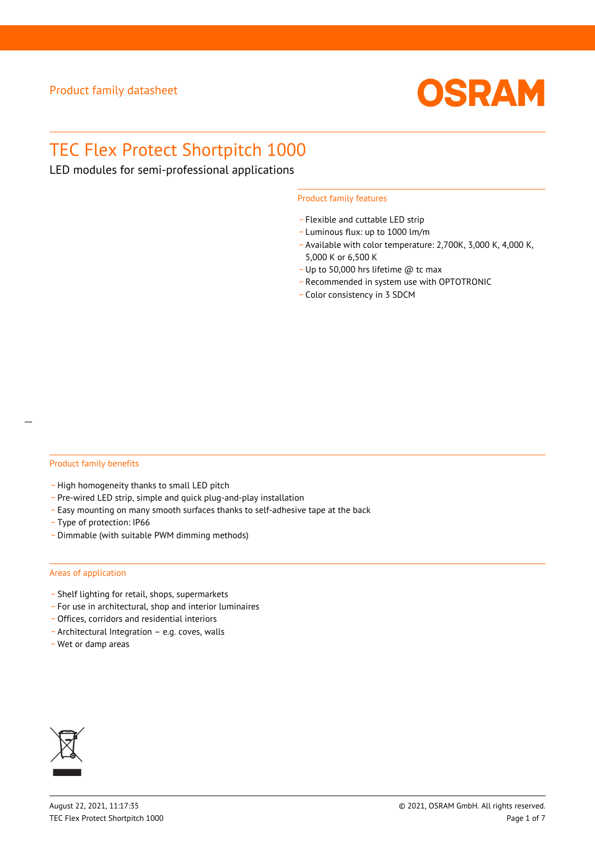

# TEC Flex Protect Shortpitch 1000

LED modules for semi-professional applications

### Product family features

- Flexible and cuttable LED strip
- \_ Luminous flux: up to 1000 lm/m
- Available with color temperature: 2,700K, 3,000 K, 4,000 K, 5,000 K or 6,500 K
- \_ Up to 50,000 hrs lifetime @ tc max
- \_ Recommended in system use with OPTOTRONIC
- \_ Color consistency in 3 SDCM

## Product family benefits

- High homogeneity thanks to small LED pitch
- \_ Pre-wired LED strip, simple and quick plug-and-play installation
- \_ Easy mounting on many smooth surfaces thanks to self-adhesive tape at the back
- \_ Type of protection: IP66
- \_ Dimmable (with suitable PWM dimming methods)

## Areas of application

- \_ Shelf lighting for retail, shops, supermarkets
- \_ For use in architectural, shop and interior luminaires
- \_ Offices, corridors and residential interiors
- \_ Architectural Integration e.g. coves, walls
- \_ Wet or damp areas

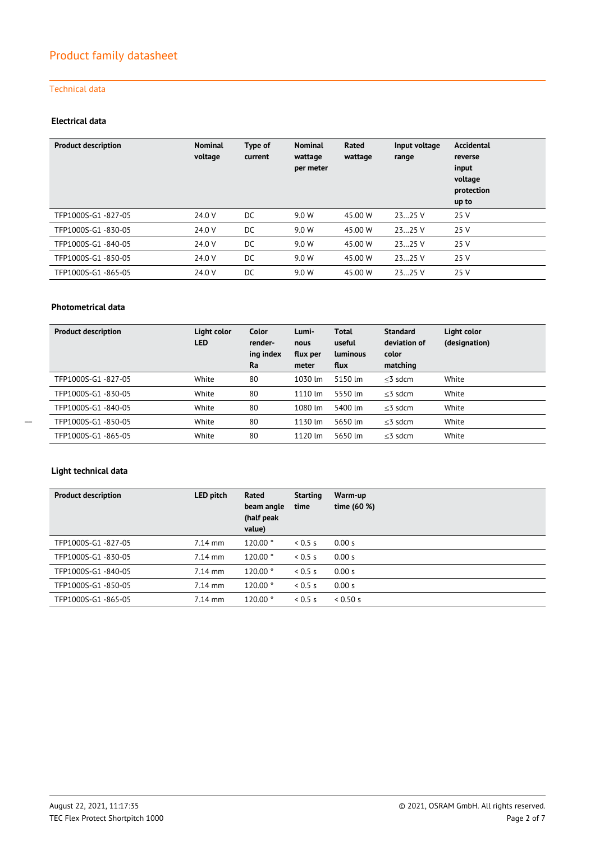## Technical data

## **Electrical data**

| <b>Product description</b> | <b>Nominal</b><br>voltage | Type of<br>current | <b>Nominal</b><br>wattage<br>per meter | Rated<br>wattage | Input voltage<br>range | Accidental<br>reverse<br>input<br>voltage<br>protection<br>up to |
|----------------------------|---------------------------|--------------------|----------------------------------------|------------------|------------------------|------------------------------------------------------------------|
| TFP1000S-G1-827-05         | 24.0 V                    | DC.                | 9.0 W                                  | 45.00 W          | 2325 V                 | 25 V                                                             |
| TFP1000S-G1-830-05         | 24.0 V                    | DC                 | 9.0 W                                  | 45.00 W          | 2325V                  | 25 V                                                             |
| TFP1000S-G1-840-05         | 24.0 V                    | DC                 | 9.0 W                                  | 45.00 W          | 2325V                  | 25 V                                                             |
| TFP1000S-G1-850-05         | 24.0 V                    | DC                 | 9.0 W                                  | 45.00 W          | 2325 V                 | 25 V                                                             |
| TFP1000S-G1-865-05         | 24.0 V                    | DC                 | 9.0 W                                  | 45.00 W          | 2325 V                 | 25 V                                                             |

## **Photometrical data**

| <b>Product description</b> | Light color<br><b>LED</b> | Color<br>render-<br>ing index<br>Ra | Lumi-<br>nous<br>flux per<br>meter | Total<br>useful<br><b>Luminous</b><br>flux | <b>Standard</b><br>deviation of<br>color<br>matching | Light color<br>(designation) |
|----------------------------|---------------------------|-------------------------------------|------------------------------------|--------------------------------------------|------------------------------------------------------|------------------------------|
| TFP1000S-G1-827-05         | White                     | 80                                  | 1030 lm                            | 5150 lm                                    | $<$ 3 sdcm                                           | White                        |
| TFP1000S-G1-830-05         | White                     | 80                                  | 1110 lm                            | 5550 lm                                    | $<$ 3 sdcm                                           | White                        |
| TFP1000S-G1-840-05         | White                     | 80                                  | 1080 lm                            | 5400 lm                                    | $<$ 3 sdcm                                           | White                        |
| TFP1000S-G1-850-05         | White                     | 80                                  | 1130 lm                            | 5650 lm                                    | $<$ 3 sdcm                                           | White                        |
| TFP1000S-G1-865-05         | White                     | 80                                  | 1120 lm                            | 5650 lm                                    | $<$ 3 sdcm                                           | White                        |

 $\overline{\phantom{a}}$ 

## **Light technical data**

| <b>Product description</b> | LED pitch | Rated<br>beam angle<br>(half peak<br>value) | <b>Starting</b><br>time | Warm-up<br>time (60 %) |
|----------------------------|-----------|---------------------------------------------|-------------------------|------------------------|
| TFP1000S-G1-827-05         | $7.14$ mm | 120.00°                                     | 0.5 s                   | 0.00 s                 |
| TFP1000S-G1-830-05         | $7.14$ mm | 120.00°                                     | 0.5 s                   | 0.00 s                 |
| TFP1000S-G1-840-05         | $7.14$ mm | 120.00 °                                    | 0.5 s                   | 0.00 s                 |
| TFP1000S-G1-850-05         | $7.14$ mm | 120.00°                                     | 0.5 s                   | 0.00 s                 |
| TFP1000S-G1-865-05         | $7.14$ mm | 120.00°                                     | 0.5 s                   | 0.50 s                 |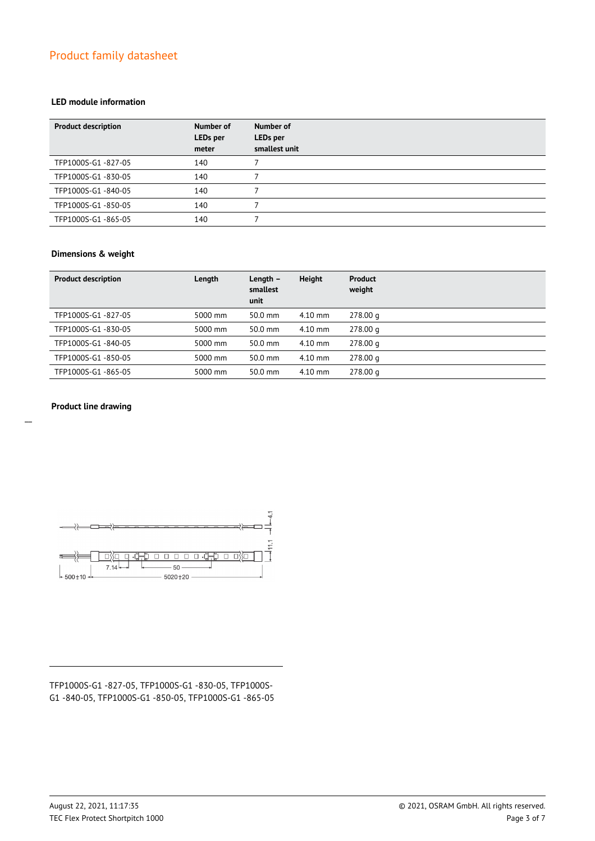## **LED module information**

| <b>Product description</b> | Number of<br>LEDs per<br>meter | Number of<br><b>LEDs</b> per<br>smallest unit |
|----------------------------|--------------------------------|-----------------------------------------------|
| TFP1000S-G1-827-05         | 140                            |                                               |
| TFP1000S-G1-830-05         | 140                            |                                               |
| TFP1000S-G1-840-05         | 140                            |                                               |
| TFP1000S-G1-850-05         | 140                            |                                               |
| TFP1000S-G1-865-05         | 140                            |                                               |

## **Dimensions & weight**

| <b>Product description</b> | Length  | Length $-$<br>smallest<br>unit | <b>Height</b> | <b>Product</b><br>weight |
|----------------------------|---------|--------------------------------|---------------|--------------------------|
| TFP1000S-G1-827-05         | 5000 mm | 50.0 mm                        | $4.10$ mm     | 278.00 g                 |
| TFP1000S-G1-830-05         | 5000 mm | 50.0 mm                        | $4.10$ mm     | 278.00 g                 |
| TFP1000S-G1-840-05         | 5000 mm | 50.0 mm                        | $4.10$ mm     | 278.00 g                 |
| TFP1000S-G1-850-05         | 5000 mm | 50.0 mm                        | $4.10$ mm     | 278.00 g                 |
| TFP1000S-G1-865-05         | 5000 mm | 50.0 mm                        | $4.10$ mm     | 278.00 g                 |

## **Product line drawing**

 $\overline{a}$ 





## TFP1000S-G1 -827-05, TFP1000S-G1 -830-05, TFP1000S-G1 -840-05, TFP1000S-G1 -850-05, TFP1000S-G1 -865-05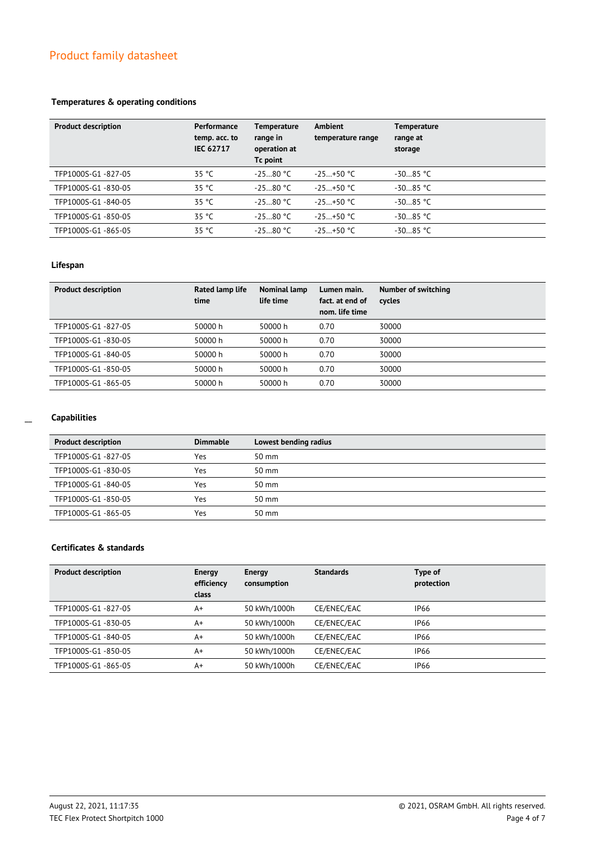## **Temperatures & operating conditions**

| <b>Product description</b> | Performance<br>temp. acc. to<br><b>IEC 62717</b> | <b>Temperature</b><br>range in<br>operation at<br>Tc point | Ambient<br>temperature range | <b>Temperature</b><br>range at<br>storage |
|----------------------------|--------------------------------------------------|------------------------------------------------------------|------------------------------|-------------------------------------------|
| TFP1000S-G1-827-05         | 35 °C                                            | $-2580 °C$                                                 | $-25+50$ °C                  | $-3085 °C$                                |
| TFP1000S-G1-830-05         | 35 °C                                            | $-2580 °C$                                                 | $-25+50$ °C                  | $-3085 °C$                                |
| TFP1000S-G1-840-05         | 35 °C                                            | $-2580 °C$                                                 | $-25+50$ °C                  | $-3085 °C$                                |
| TFP1000S-G1-850-05         | 35 °C                                            | $-2580 °C$                                                 | $-25+50$ °C                  | $-3085$ °C                                |
| TFP1000S-G1-865-05         | 35 °C                                            | $-2580 °C$                                                 | $-25+50$ °C                  | $-3085 °C$                                |

## **Lifespan**

| <b>Product description</b> | Rated lamp life<br>time | Nominal lamp<br>life time | Lumen main.<br>fact, at end of<br>nom. life time | Number of switching<br>cycles |
|----------------------------|-------------------------|---------------------------|--------------------------------------------------|-------------------------------|
| TFP1000S-G1-827-05         | 50000 h                 | 50000 h                   | 0.70                                             | 30000                         |
| TFP1000S-G1-830-05         | 50000 h                 | 50000 h                   | 0.70                                             | 30000                         |
| TFP1000S-G1-840-05         | 50000 h                 | 50000 h                   | 0.70                                             | 30000                         |
| TFP1000S-G1-850-05         | 50000 h                 | 50000 h                   | 0.70                                             | 30000                         |
| TFP1000S-G1-865-05         | 50000 h                 | 50000 h                   | 0.70                                             | 30000                         |

## **Capabilities**

| <b>Product description</b> | <b>Dimmable</b> | Lowest bending radius |
|----------------------------|-----------------|-----------------------|
| TFP1000S-G1-827-05         | Yes             | $50 \text{ mm}$       |
| TFP1000S-G1-830-05         | Yes             | $50 \text{ mm}$       |
| TFP1000S-G1-840-05         | Yes             | $50 \text{ mm}$       |
| TFP1000S-G1-850-05         | Yes             | $50 \text{ mm}$       |
| TFP1000S-G1-865-05         | Yes             | $50 \text{ mm}$       |

## **Certificates & standards**

| <b>Product description</b> | Energy<br>efficiency<br>class | Energy<br>consumption | <b>Standards</b> | Type of<br>protection |
|----------------------------|-------------------------------|-----------------------|------------------|-----------------------|
| TFP1000S-G1-827-05         | A+                            | 50 kWh/1000h          | CE/ENEC/EAC      | <b>IP66</b>           |
| TFP1000S-G1-830-05         | A+                            | 50 kWh/1000h          | CE/ENEC/EAC      | <b>IP66</b>           |
| TFP1000S-G1-840-05         | A+                            | 50 kWh/1000h          | CE/ENEC/EAC      | <b>IP66</b>           |
| TFP1000S-G1-850-05         | A+                            | 50 kWh/1000h          | CE/ENEC/EAC      | <b>IP66</b>           |
| TFP1000S-G1-865-05         | A+                            | 50 kWh/1000h          | CE/ENEC/EAC      | <b>IP66</b>           |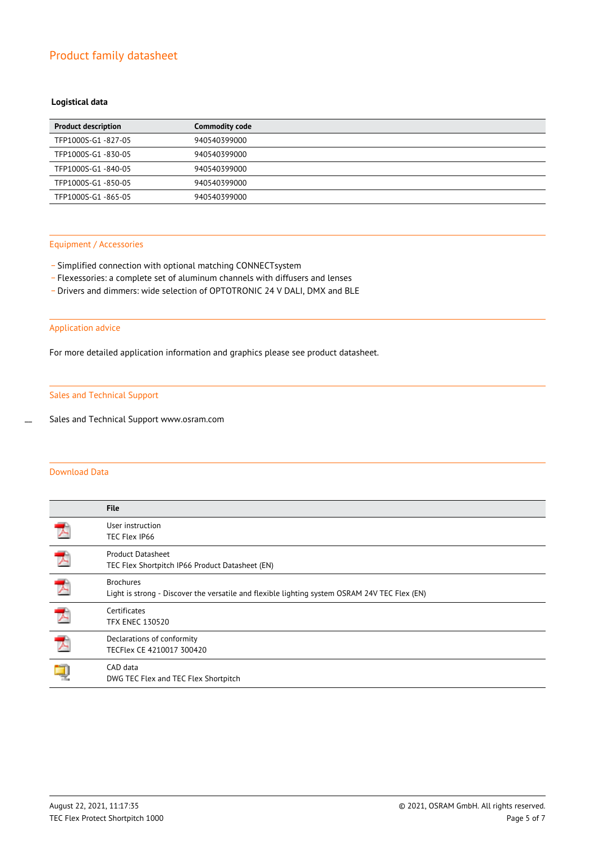## **Logistical data**

| <b>Product description</b> | <b>Commodity code</b> |
|----------------------------|-----------------------|
| TFP1000S-G1-827-05         | 940540399000          |
| TFP1000S-G1-830-05         | 940540399000          |
| TFP1000S-G1-840-05         | 940540399000          |
| TFP1000S-G1-850-05         | 940540399000          |
| TFP1000S-G1-865-05         | 940540399000          |

#### Equipment / Accessories

- Simplified connection with optional matching CONNECTsystem
- \_ Flexessories: a complete set of aluminum channels with diffusers and lenses
- \_ Drivers and dimmers: wide selection of OPTOTRONIC 24 V DALI, DMX and BLE

## Application advice

For more detailed application information and graphics please see product datasheet.

## Sales and Technical Support

Sales and Technical Support www.osram.com

## Download Data

 $\overline{a}$ 

|                          | <b>File</b>                                                                                                       |
|--------------------------|-------------------------------------------------------------------------------------------------------------------|
| $\overline{\phantom{a}}$ | User instruction<br>TEC Flex IP66                                                                                 |
| プ                        | <b>Product Datasheet</b><br>TEC Flex Shortpitch IP66 Product Datasheet (EN)                                       |
| 人                        | <b>Brochures</b><br>Light is strong - Discover the versatile and flexible lighting system OSRAM 24V TEC Flex (EN) |
| 入                        | Certificates<br><b>TFX ENEC 130520</b>                                                                            |
| プ                        | Declarations of conformity<br>TECFlex CE 4210017 300420                                                           |
|                          | CAD data<br>DWG TEC Flex and TEC Flex Shortpitch                                                                  |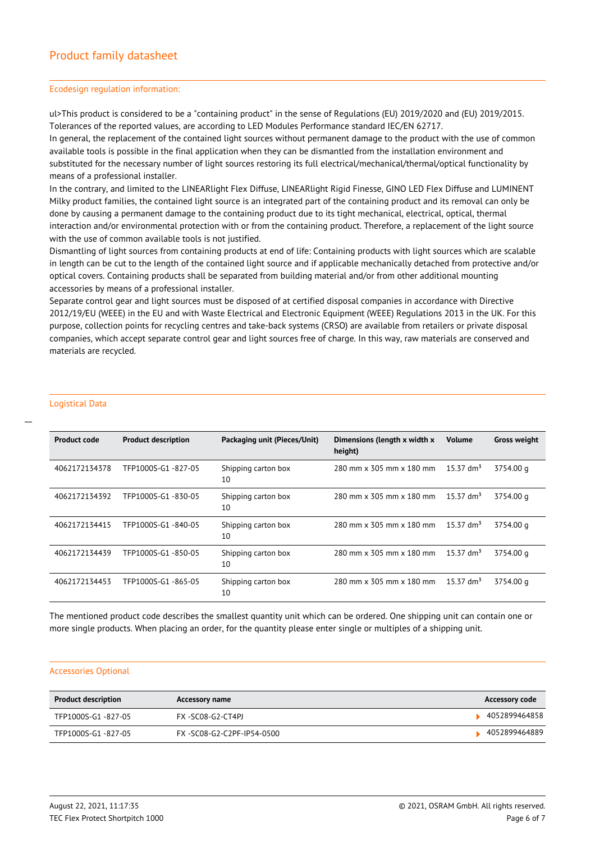#### Ecodesign regulation information:

ul>This product is considered to be a "containing product" in the sense of Regulations (EU) 2019/2020 and (EU) 2019/2015. Tolerances of the reported values, are according to LED Modules Performance standard IEC/EN 62717.

In general, the replacement of the contained light sources without permanent damage to the product with the use of common available tools is possible in the final application when they can be dismantled from the installation environment and substituted for the necessary number of light sources restoring its full electrical/mechanical/thermal/optical functionality by means of a professional installer.

In the contrary, and limited to the LINEARlight Flex Diffuse, LINEARlight Rigid Finesse, GINO LED Flex Diffuse and LUMINENT Milky product families, the contained light source is an integrated part of the containing product and its removal can only be done by causing a permanent damage to the containing product due to its tight mechanical, electrical, optical, thermal interaction and/or environmental protection with or from the containing product. Therefore, a replacement of the light source with the use of common available tools is not justified.

Dismantling of light sources from containing products at end of life: Containing products with light sources which are scalable in length can be cut to the length of the contained light source and if applicable mechanically detached from protective and/or optical covers. Containing products shall be separated from building material and/or from other additional mounting accessories by means of a professional installer.

Separate control gear and light sources must be disposed of at certified disposal companies in accordance with Directive 2012/19/EU (WEEE) in the EU and with Waste Electrical and Electronic Equipment (WEEE) Regulations 2013 in the UK. For this purpose, collection points for recycling centres and take-back systems (CRSO) are available from retailers or private disposal companies, which accept separate control gear and light sources free of charge. In this way, raw materials are conserved and materials are recycled.

## Logistical Data

 $\overline{a}$ 

| <b>Product code</b> | <b>Product description</b> | Packaging unit (Pieces/Unit) | Dimensions (length x width x<br>height) | <b>Volume</b>        | <b>Gross weight</b> |
|---------------------|----------------------------|------------------------------|-----------------------------------------|----------------------|---------------------|
| 4062172134378       | TFP1000S-G1 -827-05        | Shipping carton box<br>10    | 280 mm x 305 mm x 180 mm                | $15.37 \text{ dm}^3$ | 3754.00 g           |
| 4062172134392       | TFP1000S-G1-830-05         | Shipping carton box<br>10    | 280 mm x 305 mm x 180 mm                | 15.37 $dm^3$         | 3754.00 g           |
| 4062172134415       | TFP1000S-G1-840-05         | Shipping carton box<br>10    | 280 mm x 305 mm x 180 mm                | $15.37 \text{ dm}^3$ | 3754.00 g           |
| 4062172134439       | TFP1000S-G1-850-05         | Shipping carton box<br>10    | 280 mm x 305 mm x 180 mm                | 15.37 $dm^3$         | 3754.00 g           |
| 4062172134453       | TFP1000S-G1-865-05         | Shipping carton box<br>10    | 280 mm x 305 mm x 180 mm                | $15.37 \text{ dm}^3$ | 3754.00 g           |

The mentioned product code describes the smallest quantity unit which can be ordered. One shipping unit can contain one or more single products. When placing an order, for the quantity please enter single or multiples of a shipping unit.

#### Accessories Optional

| <b>Product description</b> | Accessory name            | <b>Accessory code</b> |
|----------------------------|---------------------------|-----------------------|
| TFP1000S-G1 -827-05        | FX -SC08-G2-CT4PJ         | 4052899464858         |
| TFP1000S-G1-827-05         | FX-SC08-G2-C2PF-IP54-0500 | 4052899464889         |